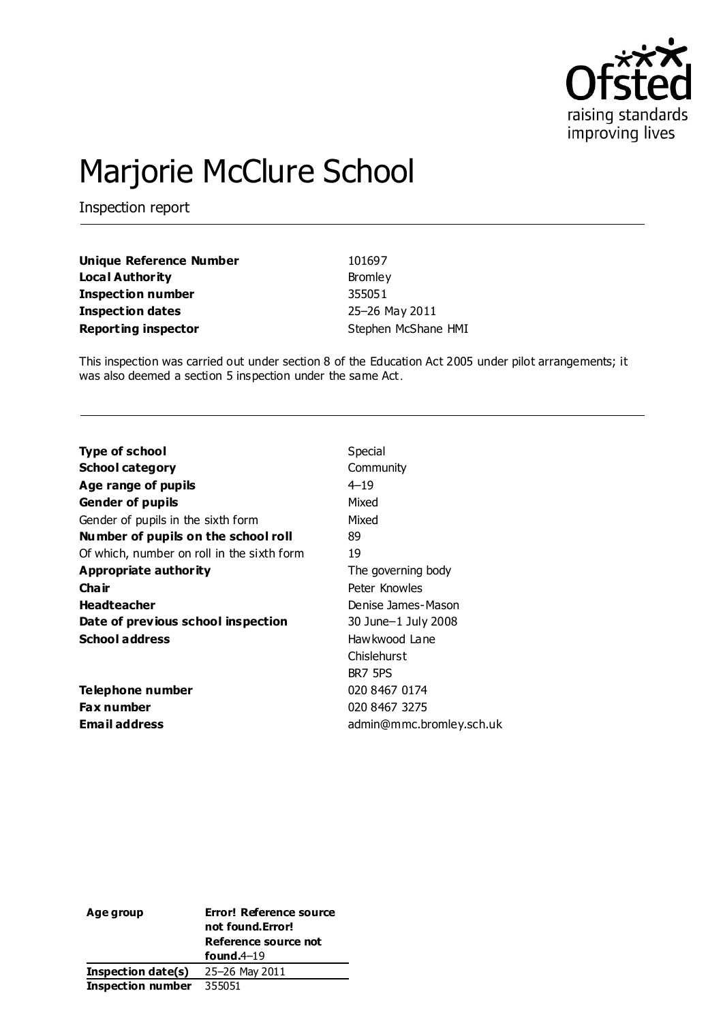

# Marjorie McClure School

Inspection report

| Unique Reference Number    | 101697              |
|----------------------------|---------------------|
| Local Authority            | Bromley             |
| Inspection number          | 355051              |
| Inspection dates           | 25-26 May 2011      |
| <b>Reporting inspector</b> | Stephen McShane HMI |

This inspection was carried out under section 8 of the Education Act 2005 under pilot arrangements; it was also deemed a section 5 inspection under the same Act.

| Special                  |
|--------------------------|
| Community                |
| $4 - 19$                 |
| Mixed                    |
| Mixed                    |
| 89                       |
| 19                       |
| The governing body       |
| Peter Knowles            |
| Denise James-Mason       |
| 30 June-1 July 2008      |
| Hawkwood Lane            |
| Chislehurst              |
| BR7 5PS                  |
| 020 8467 0174            |
| 020 8467 3275            |
| admin@mmc.bromley.sch.uk |
|                          |

| Age group                 | Error! Reference source<br>not found. Error!<br>Reference source not |  |  |
|---------------------------|----------------------------------------------------------------------|--|--|
|                           | found. $4-19$                                                        |  |  |
| <b>Inspection date(s)</b> | 25–26 May 2011                                                       |  |  |
| <b>Inspection number</b>  | 355051                                                               |  |  |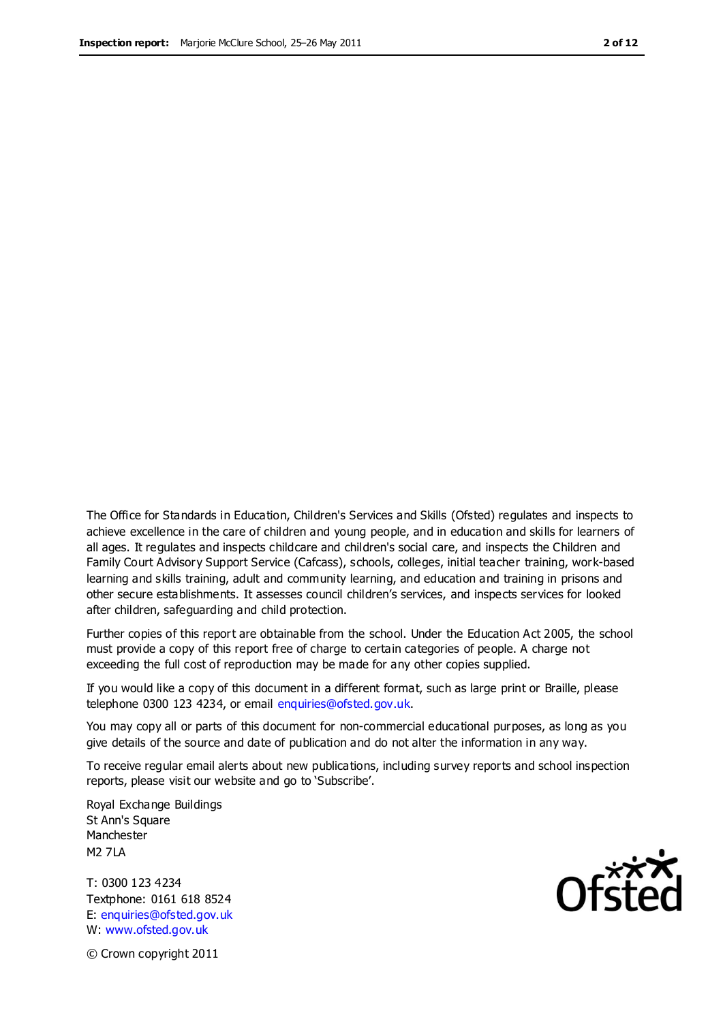The Office for Standards in Education, Children's Services and Skills (Ofsted) regulates and inspects to achieve excellence in the care of children and young people, and in education and skills for learners of all ages. It regulates and inspects childcare and children's social care, and inspects the Children and Family Court Advisory Support Service (Cafcass), schools, colleges, initial teacher training, work-based learning and skills training, adult and community learning, and education and training in prisons and other secure establishments. It assesses council children's services, and inspects services for looked after children, safeguarding and child protection.

Further copies of this report are obtainable from the school. Under the Education Act 2005, the school must provide a copy of this report free of charge to certain categories of people. A charge not exceeding the full cost of reproduction may be made for any other copies supplied.

If you would like a copy of this document in a different format, such as large print or Braille, please telephone 0300 123 4234, or email enquiries@ofsted.gov.uk.

You may copy all or parts of this document for non-commercial educational purposes, as long as you give details of the source and date of publication and do not alter the information in any way.

To receive regular email alerts about new publications, including survey reports and school inspection reports, please visit our website and go to 'Subscribe'.

Royal Exchange Buildings St Ann's Square Manchester M2 7LA

T: 0300 123 4234 Textphone: 0161 618 8524 E: enquiries@ofsted.gov.uk W: www.ofsted.gov.uk

**Ofsted** 

© Crown copyright 2011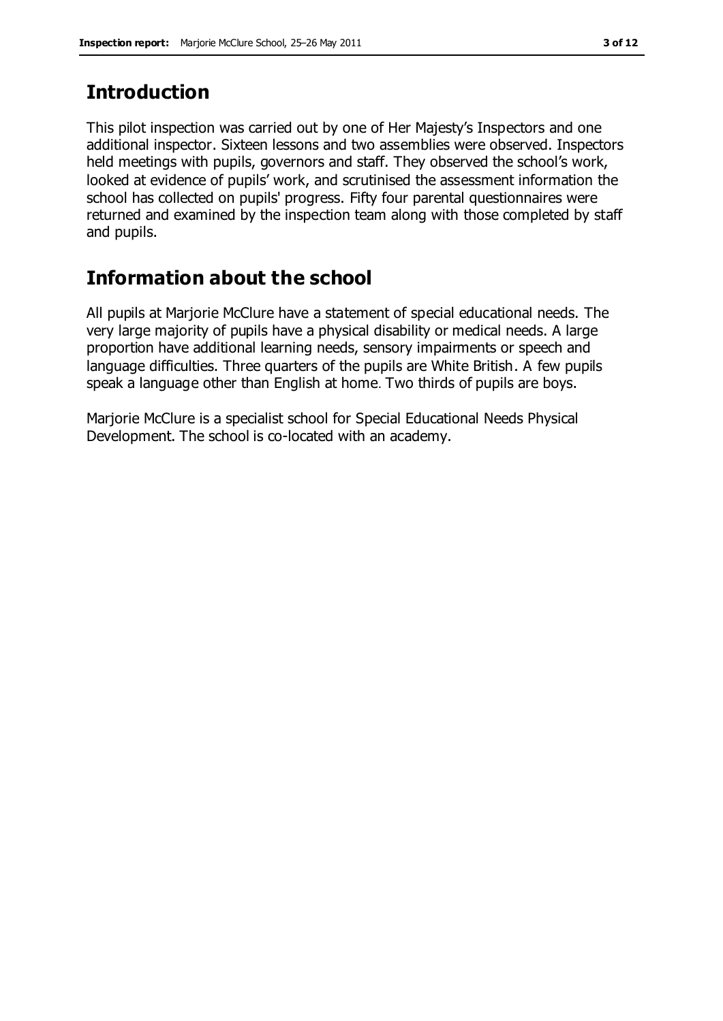### **Introduction**

This pilot inspection was carried out by one of Her Majesty's Inspectors and one additional inspector. Sixteen lessons and two assemblies were observed. Inspectors held meetings with pupils, governors and staff. They observed the school's work, looked at evidence of pupils' work, and scrutinised the assessment information the school has collected on pupils' progress. Fifty four parental questionnaires were returned and examined by the inspection team along with those completed by staff and pupils.

# **Information about the school**

All pupils at Marjorie McClure have a statement of special educational needs. The very large majority of pupils have a physical disability or medical needs. A large proportion have additional learning needs, sensory impairments or speech and language difficulties. Three quarters of the pupils are White British. A few pupils speak a language other than English at home. Two thirds of pupils are boys.

Marjorie McClure is a specialist school for Special Educational Needs Physical Development. The school is co-located with an academy.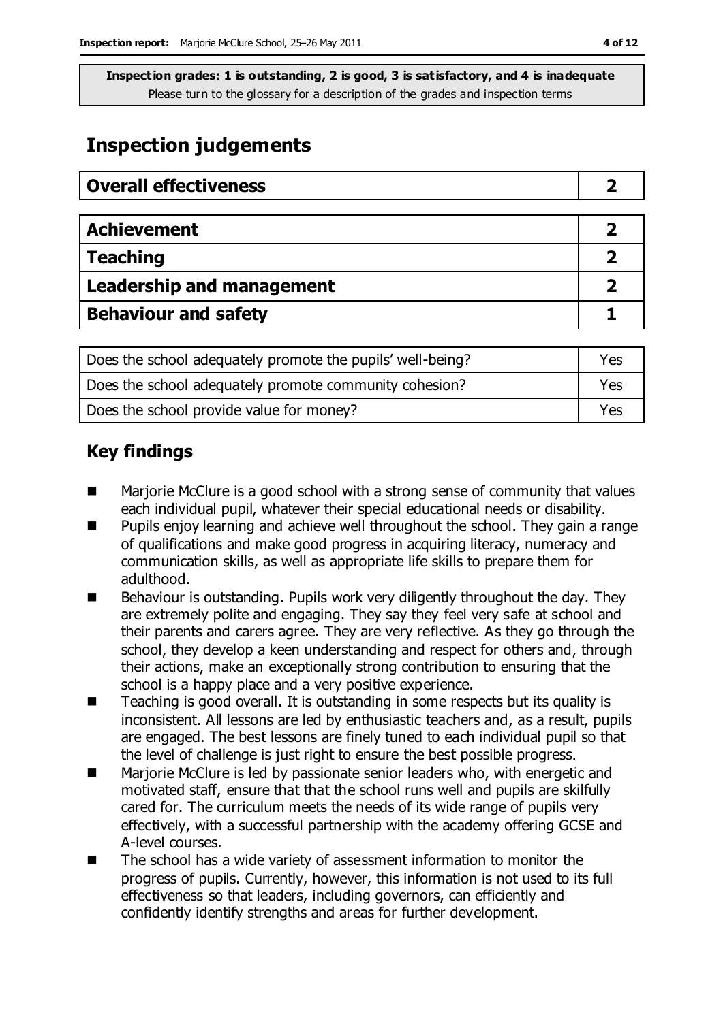# **Inspection judgements**

| <b>Overall effectiveness</b>     |  |
|----------------------------------|--|
|                                  |  |
| <b>Achievement</b>               |  |
| <b>Teaching</b>                  |  |
| <b>Leadership and management</b> |  |
| <b>Behaviour and safety</b>      |  |

| Does the school adequately promote the pupils' well-being? | Yes |
|------------------------------------------------------------|-----|
| Does the school adequately promote community cohesion?     | Yes |
| Does the school provide value for money?                   | Yes |

# **Key findings**

- Marjorie McClure is a good school with a strong sense of community that values each individual pupil, whatever their special educational needs or disability.
- Pupils enjoy learning and achieve well throughout the school. They gain a range of qualifications and make good progress in acquiring literacy, numeracy and communication skills, as well as appropriate life skills to prepare them for adulthood.
- $\blacksquare$  Behaviour is outstanding. Pupils work very diligently throughout the day. They are extremely polite and engaging. They say they feel very safe at school and their parents and carers agree. They are very reflective. As they go through the school, they develop a keen understanding and respect for others and, through their actions, make an exceptionally strong contribution to ensuring that the school is a happy place and a very positive experience.
- Teaching is good overall. It is outstanding in some respects but its quality is inconsistent. All lessons are led by enthusiastic teachers and, as a result, pupils are engaged. The best lessons are finely tuned to each individual pupil so that the level of challenge is just right to ensure the best possible progress.
- Marjorie McClure is led by passionate senior leaders who, with energetic and motivated staff, ensure that that the school runs well and pupils are skilfully cared for. The curriculum meets the needs of its wide range of pupils very effectively, with a successful partnership with the academy offering GCSE and A-level courses.
- The school has a wide variety of assessment information to monitor the progress of pupils. Currently, however, this information is not used to its full effectiveness so that leaders, including governors, can efficiently and confidently identify strengths and areas for further development.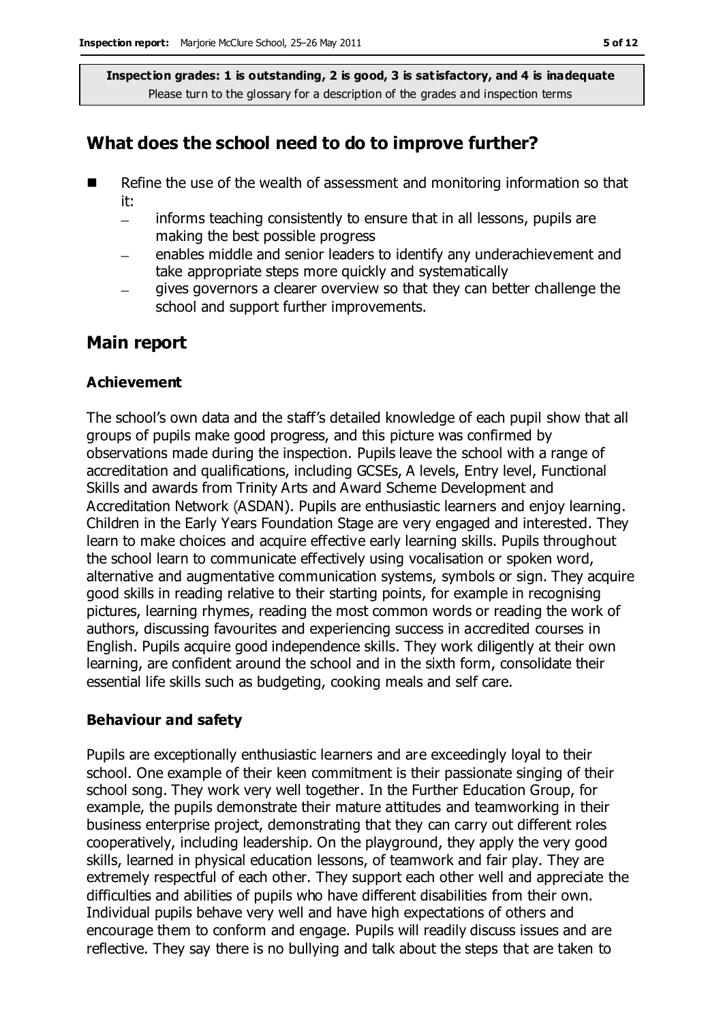### **What does the school need to do to improve further?**

- Refine the use of the wealth of assessment and monitoring information so that it:
	- informs teaching consistently to ensure that in all lessons, pupils are  $\equiv$ making the best possible progress
	- enables middle and senior leaders to identify any underachievement and take appropriate steps more quickly and systematically
	- gives governors a clearer overview so that they can better challenge the school and support further improvements.

### **Main report**

#### **Achievement**

The school's own data and the staff's detailed knowledge of each pupil show that all groups of pupils make good progress, and this picture was confirmed by observations made during the inspection. Pupils leave the school with a range of accreditation and qualifications, including GCSEs, A levels, Entry level, Functional Skills and awards from Trinity Arts and Award Scheme Development and Accreditation Network (ASDAN). Pupils are enthusiastic learners and enjoy learning. Children in the Early Years Foundation Stage are very engaged and interested. They learn to make choices and acquire effective early learning skills. Pupils throughout the school learn to communicate effectively using vocalisation or spoken word, alternative and augmentative communication systems, symbols or sign. They acquire good skills in reading relative to their starting points, for example in recognising pictures, learning rhymes, reading the most common words or reading the work of authors, discussing favourites and experiencing success in accredited courses in English. Pupils acquire good independence skills. They work diligently at their own learning, are confident around the school and in the sixth form, consolidate their essential life skills such as budgeting, cooking meals and self care.

#### **Behaviour and safety**

Pupils are exceptionally enthusiastic learners and are exceedingly loyal to their school. One example of their keen commitment is their passionate singing of their school song. They work very well together. In the Further Education Group, for example, the pupils demonstrate their mature attitudes and teamworking in their business enterprise project, demonstrating that they can carry out different roles cooperatively, including leadership. On the playground, they apply the very good skills, learned in physical education lessons, of teamwork and fair play. They are extremely respectful of each other. They support each other well and appreciate the difficulties and abilities of pupils who have different disabilities from their own. Individual pupils behave very well and have high expectations of others and encourage them to conform and engage. Pupils will readily discuss issues and are reflective. They say there is no bullying and talk about the steps that are taken to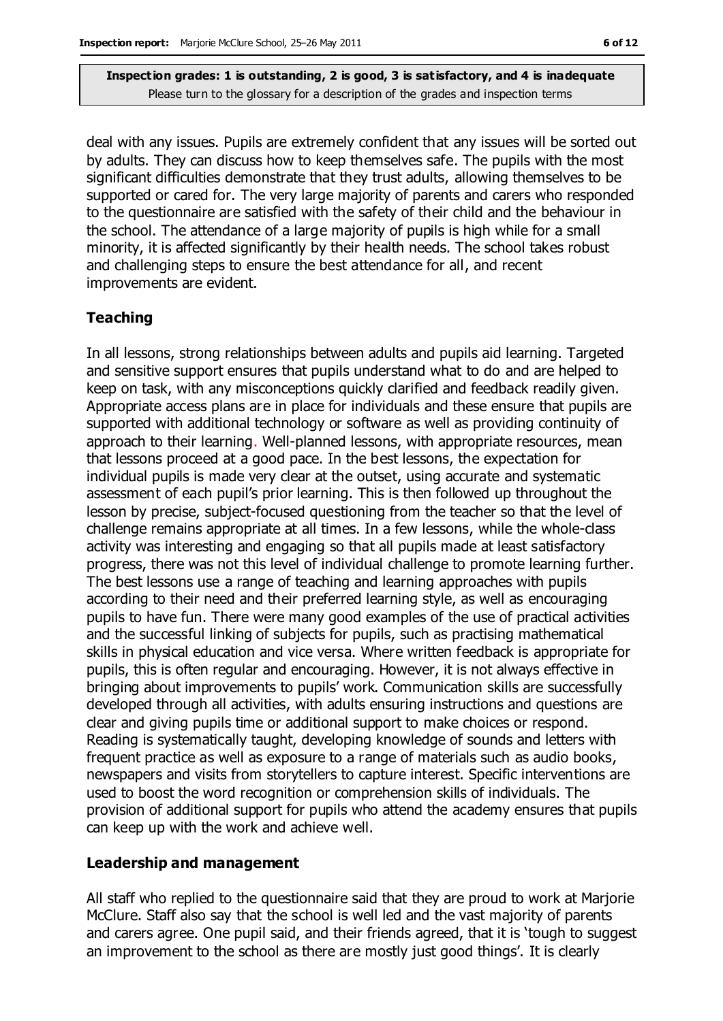deal with any issues. Pupils are extremely confident that any issues will be sorted out by adults. They can discuss how to keep themselves safe. The pupils with the most significant difficulties demonstrate that they trust adults, allowing themselves to be supported or cared for. The very large majority of parents and carers who responded to the questionnaire are satisfied with the safety of their child and the behaviour in the school. The attendance of a large majority of pupils is high while for a small minority, it is affected significantly by their health needs. The school takes robust and challenging steps to ensure the best attendance for all, and recent improvements are evident.

### **Teaching**

In all lessons, strong relationships between adults and pupils aid learning. Targeted and sensitive support ensures that pupils understand what to do and are helped to keep on task, with any misconceptions quickly clarified and feedback readily given. Appropriate access plans are in place for individuals and these ensure that pupils are supported with additional technology or software as well as providing continuity of approach to their learning. Well-planned lessons, with appropriate resources, mean that lessons proceed at a good pace. In the best lessons, the expectation for individual pupils is made very clear at the outset, using accurate and systematic assessment of each pupil's prior learning. This is then followed up throughout the lesson by precise, subject-focused questioning from the teacher so that the level of challenge remains appropriate at all times. In a few lessons, while the whole-class activity was interesting and engaging so that all pupils made at least satisfactory progress, there was not this level of individual challenge to promote learning further. The best lessons use a range of teaching and learning approaches with pupils according to their need and their preferred learning style, as well as encouraging pupils to have fun. There were many good examples of the use of practical activities and the successful linking of subjects for pupils, such as practising mathematical skills in physical education and vice versa. Where written feedback is appropriate for pupils, this is often regular and encouraging. However, it is not always effective in bringing about improvements to pupils' work. Communication skills are successfully developed through all activities, with adults ensuring instructions and questions are clear and giving pupils time or additional support to make choices or respond. Reading is systematically taught, developing knowledge of sounds and letters with frequent practice as well as exposure to a range of materials such as audio books, newspapers and visits from storytellers to capture interest. Specific interventions are used to boost the word recognition or comprehension skills of individuals. The provision of additional support for pupils who attend the academy ensures that pupils can keep up with the work and achieve well.

#### **Leadership and management**

All staff who replied to the questionnaire said that they are proud to work at Marjorie McClure. Staff also say that the school is well led and the vast majority of parents and carers agree. One pupil said, and their friends agreed, that it is 'tough to suggest an improvement to the school as there are mostly just good things'. It is clearly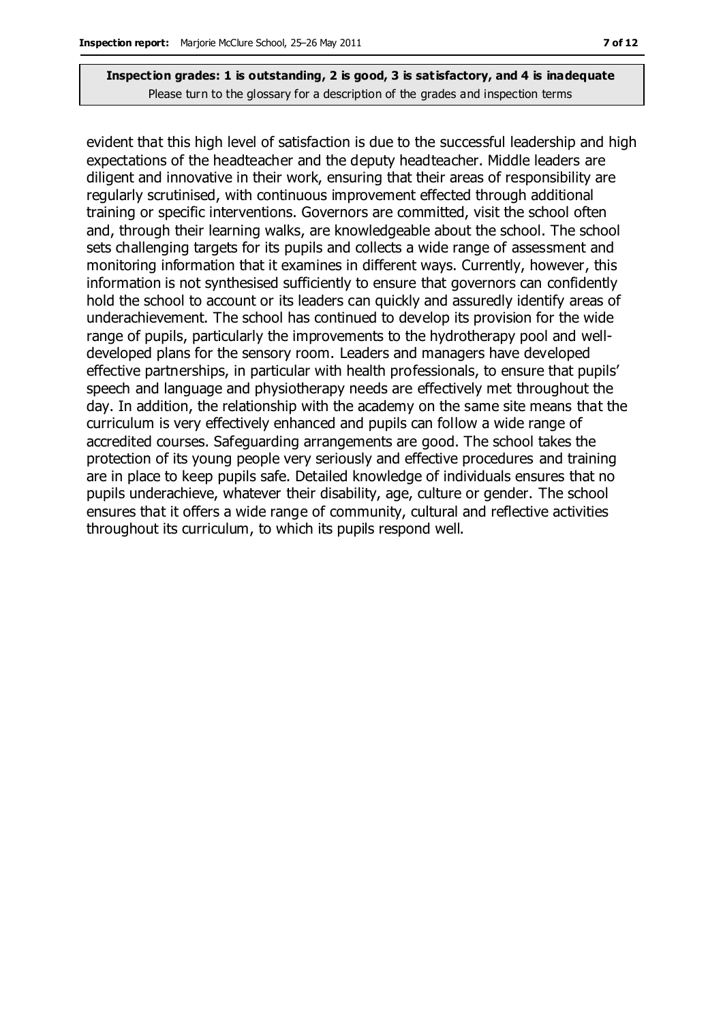evident that this high level of satisfaction is due to the successful leadership and high expectations of the headteacher and the deputy headteacher. Middle leaders are diligent and innovative in their work, ensuring that their areas of responsibility are regularly scrutinised, with continuous improvement effected through additional training or specific interventions. Governors are committed, visit the school often and, through their learning walks, are knowledgeable about the school. The school sets challenging targets for its pupils and collects a wide range of assessment and monitoring information that it examines in different ways. Currently, however, this information is not synthesised sufficiently to ensure that governors can confidently hold the school to account or its leaders can quickly and assuredly identify areas of underachievement. The school has continued to develop its provision for the wide range of pupils, particularly the improvements to the hydrotherapy pool and welldeveloped plans for the sensory room. Leaders and managers have developed effective partnerships, in particular with health professionals, to ensure that pupils' speech and language and physiotherapy needs are effectively met throughout the day. In addition, the relationship with the academy on the same site means that the curriculum is very effectively enhanced and pupils can follow a wide range of accredited courses. Safeguarding arrangements are good. The school takes the protection of its young people very seriously and effective procedures and training are in place to keep pupils safe. Detailed knowledge of individuals ensures that no pupils underachieve, whatever their disability, age, culture or gender. The school ensures that it offers a wide range of community, cultural and reflective activities throughout its curriculum, to which its pupils respond well.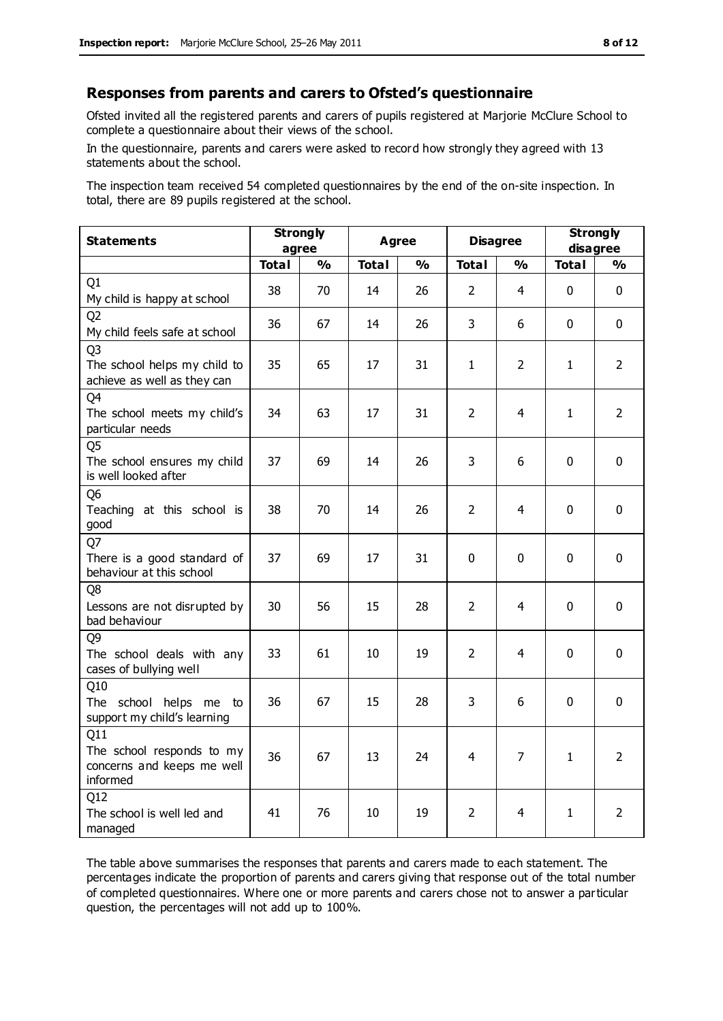#### **Responses from parents and carers to Ofsted's questionnaire**

Ofsted invited all the registered parents and carers of pupils registered at Marjorie McClure School to complete a questionnaire about their views of the school.

In the questionnaire, parents and carers were asked to record how strongly they agreed with 13 statements about the school.

The inspection team received 54 completed questionnaires by the end of the on-site inspection. In total, there are 89 pupils registered at the school.

| <b>Statements</b>                                                             | <b>Strongly</b><br>agree |               | <b>Agree</b> |               | <b>Disagree</b> |                | <b>Strongly</b><br>disagree |                |
|-------------------------------------------------------------------------------|--------------------------|---------------|--------------|---------------|-----------------|----------------|-----------------------------|----------------|
|                                                                               | <b>Total</b>             | $\frac{0}{0}$ | <b>Total</b> | $\frac{0}{0}$ | <b>Total</b>    | $\frac{1}{2}$  | <b>Total</b>                | $\frac{0}{0}$  |
| Q <sub>1</sub><br>My child is happy at school                                 | 38                       | 70            | 14           | 26            | $\overline{2}$  | 4              | $\mathbf 0$                 | $\mathbf 0$    |
| Q <sub>2</sub><br>My child feels safe at school                               | 36                       | 67            | 14           | 26            | 3               | 6              | $\mathbf{0}$                | $\mathbf 0$    |
| Q <sub>3</sub><br>The school helps my child to<br>achieve as well as they can | 35                       | 65            | 17           | 31            | 1               | $\overline{2}$ | 1                           | $\overline{2}$ |
| Q4<br>The school meets my child's<br>particular needs                         | 34                       | 63            | 17           | 31            | $\overline{2}$  | $\overline{4}$ | $\mathbf{1}$                | $\overline{2}$ |
| Q <sub>5</sub><br>The school ensures my child<br>is well looked after         | 37                       | 69            | 14           | 26            | 3               | 6              | $\Omega$                    | $\mathbf 0$    |
| Q <sub>6</sub><br>Teaching at this school is<br>good                          | 38                       | 70            | 14           | 26            | $\overline{2}$  | 4              | $\mathbf 0$                 | $\mathbf 0$    |
| Q7<br>There is a good standard of<br>behaviour at this school                 | 37                       | 69            | 17           | 31            | 0               | $\mathbf{0}$   | $\mathbf{0}$                | $\mathbf 0$    |
| Q8<br>Lessons are not disrupted by<br>bad behaviour                           | 30                       | 56            | 15           | 28            | $\overline{2}$  | 4              | $\mathbf{0}$                | $\mathbf 0$    |
| Q9<br>The school deals with any<br>cases of bullying well                     | 33                       | 61            | 10           | 19            | $\overline{2}$  | 4              | $\mathbf{0}$                | $\mathbf 0$    |
| Q10<br>The school helps me to<br>support my child's learning                  | 36                       | 67            | 15           | 28            | 3               | 6              | $\mathbf{0}$                | $\mathbf 0$    |
| Q11<br>The school responds to my<br>concerns and keeps me well<br>informed    | 36                       | 67            | 13           | 24            | $\overline{4}$  | $\overline{7}$ | $\mathbf{1}$                | $\overline{2}$ |
| Q12<br>The school is well led and<br>managed                                  | 41                       | 76            | 10           | 19            | $\overline{2}$  | 4              | $\mathbf{1}$                | $\overline{2}$ |

The table above summarises the responses that parents and carers made to each statement. The percentages indicate the proportion of parents and carers giving that response out of the total number of completed questionnaires. Where one or more parents and carers chose not to answer a particular question, the percentages will not add up to 100%.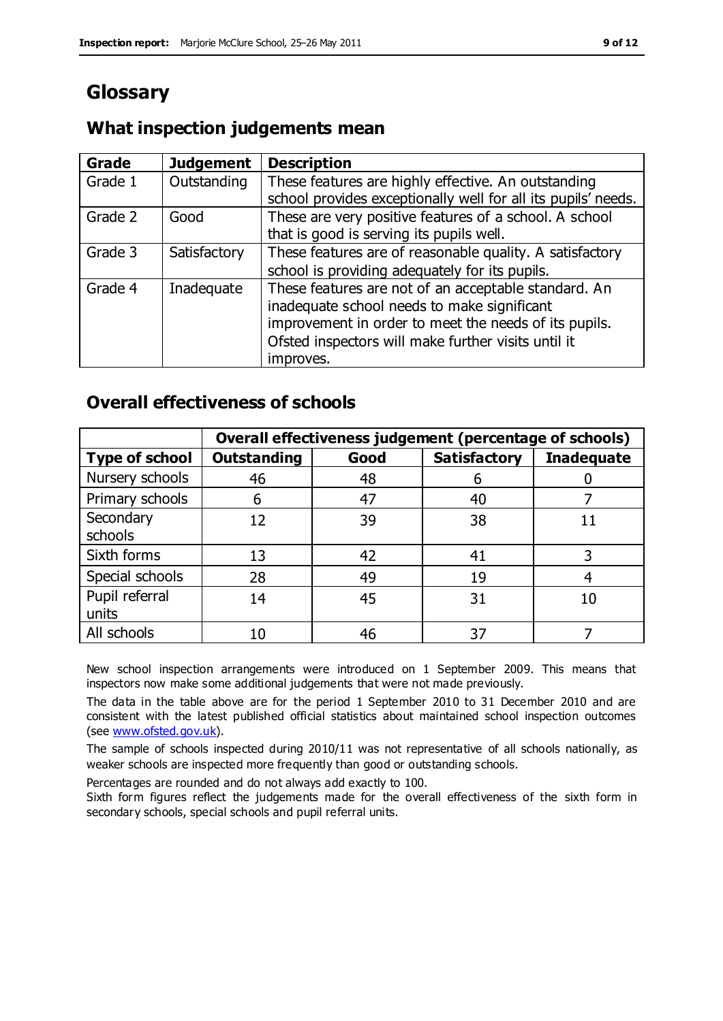# **Glossary**

### **What inspection judgements mean**

| <b>Grade</b> | <b>Judgement</b> | <b>Description</b>                                                                                                                                                                                                               |
|--------------|------------------|----------------------------------------------------------------------------------------------------------------------------------------------------------------------------------------------------------------------------------|
| Grade 1      | Outstanding      | These features are highly effective. An outstanding<br>school provides exceptionally well for all its pupils' needs.                                                                                                             |
| Grade 2      | Good             | These are very positive features of a school. A school<br>that is good is serving its pupils well.                                                                                                                               |
| Grade 3      | Satisfactory     | These features are of reasonable quality. A satisfactory<br>school is providing adequately for its pupils.                                                                                                                       |
| Grade 4      | Inadequate       | These features are not of an acceptable standard. An<br>inadequate school needs to make significant<br>improvement in order to meet the needs of its pupils.<br>Ofsted inspectors will make further visits until it<br>improves. |

### **Overall effectiveness of schools**

|                         |                    |      | Overall effectiveness judgement (percentage of schools) |                   |
|-------------------------|--------------------|------|---------------------------------------------------------|-------------------|
| <b>Type of school</b>   | <b>Outstanding</b> | Good | <b>Satisfactory</b>                                     | <b>Inadequate</b> |
| Nursery schools         | 46                 | 48   | 6                                                       |                   |
| Primary schools         | 6                  | 47   | 40                                                      |                   |
| Secondary<br>schools    | 12                 | 39   | 38                                                      |                   |
| Sixth forms             | 13                 | 42   | 41                                                      |                   |
| Special schools         | 28                 | 49   | 19                                                      |                   |
| Pupil referral<br>units | 14                 | 45   | 31                                                      | 10                |
| All schools             | 10                 | 46   | 37                                                      |                   |

New school inspection arrangements were introduced on 1 September 2009. This means that inspectors now make some additional judgements that were not made previously.

The data in the table above are for the period 1 September 2010 to 31 December 2010 and are consistent with the latest published official statistics about maintained school inspection outcomes (see [www.ofsted.gov.uk\)](http://www.ofsted.gov.uk/).

The sample of schools inspected during 2010/11 was not representative of all schools nationally, as weaker schools are inspected more frequently than good or outstanding schools.

Percentages are rounded and do not always add exactly to 100.

Sixth form figures reflect the judgements made for the overall effectiveness of the sixth form in secondary schools, special schools and pupil referral units.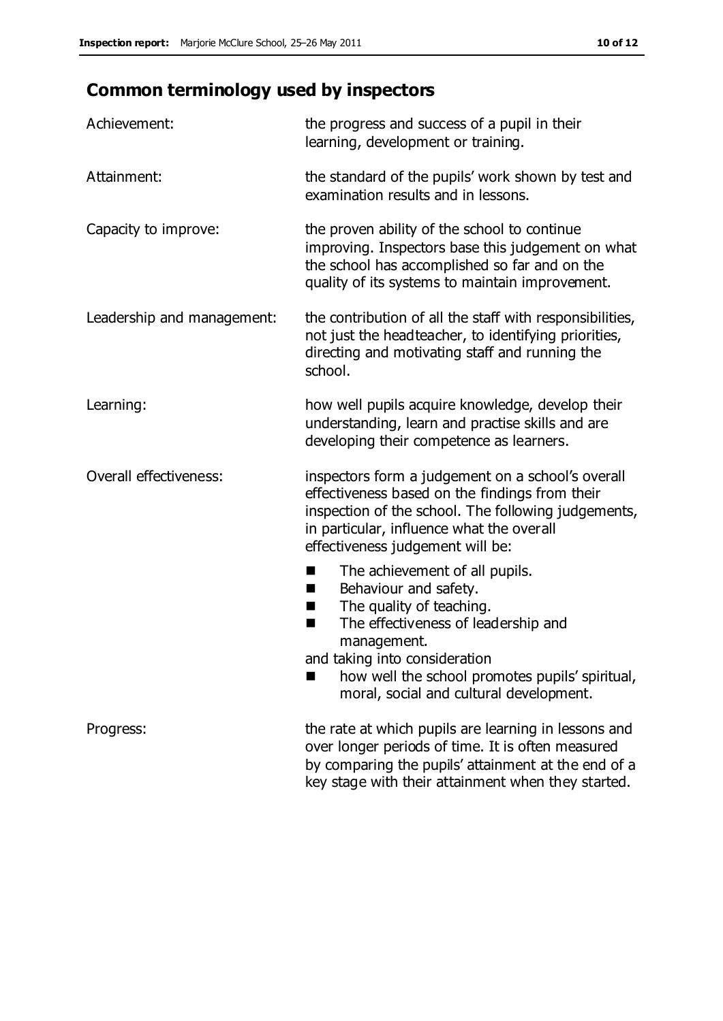# **Common terminology used by inspectors**

| Achievement:               | the progress and success of a pupil in their<br>learning, development or training.                                                                                                                                                          |
|----------------------------|---------------------------------------------------------------------------------------------------------------------------------------------------------------------------------------------------------------------------------------------|
| Attainment:                | the standard of the pupils' work shown by test and<br>examination results and in lessons.                                                                                                                                                   |
| Capacity to improve:       | the proven ability of the school to continue<br>improving. Inspectors base this judgement on what<br>the school has accomplished so far and on the<br>quality of its systems to maintain improvement.                                       |
| Leadership and management: | the contribution of all the staff with responsibilities,<br>not just the headteacher, to identifying priorities,<br>directing and motivating staff and running the<br>school.                                                               |
| Learning:                  | how well pupils acquire knowledge, develop their<br>understanding, learn and practise skills and are<br>developing their competence as learners.                                                                                            |
| Overall effectiveness:     | inspectors form a judgement on a school's overall<br>effectiveness based on the findings from their<br>inspection of the school. The following judgements,<br>in particular, influence what the overall<br>effectiveness judgement will be: |
|                            | The achievement of all pupils.<br>E<br>Behaviour and safety.<br>ш<br>The quality of teaching.<br>H<br>The effectiveness of leadership and<br>п<br>management.<br>and taking into consideration                                              |
|                            | how well the school promotes pupils' spiritual,<br>moral, social and cultural development.                                                                                                                                                  |
| Progress:                  | the rate at which pupils are learning in lessons and<br>over longer periods of time. It is often measured<br>by comparing the pupils' attainment at the end of a                                                                            |

key stage with their attainment when they started.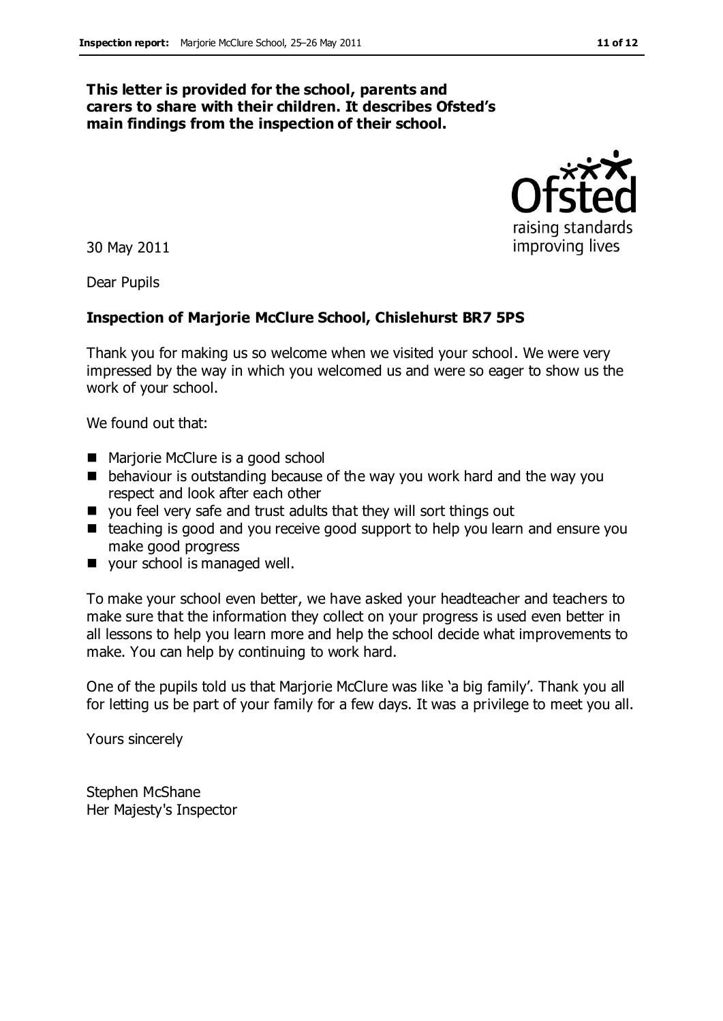#### **This letter is provided for the school, parents and carers to share with their children. It describes Ofsted's main findings from the inspection of their school.**

30 May 2011

Dear Pupils

#### **Inspection of Marjorie McClure School, Chislehurst BR7 5PS**

Thank you for making us so welcome when we visited your school. We were very impressed by the way in which you welcomed us and were so eager to show us the work of your school.

We found out that:

- Marjorie McClure is a good school
- **•** behaviour is outstanding because of the way you work hard and the way you respect and look after each other
- you feel very safe and trust adults that they will sort things out
- teaching is good and you receive good support to help you learn and ensure you make good progress
- vour school is managed well.

To make your school even better, we have asked your headteacher and teachers to make sure that the information they collect on your progress is used even better in all lessons to help you learn more and help the school decide what improvements to make. You can help by continuing to work hard.

One of the pupils told us that Marjorie McClure was like 'a big family'. Thank you all for letting us be part of your family for a few days. It was a privilege to meet you all.

Yours sincerely

Stephen McShane Her Majesty's Inspector